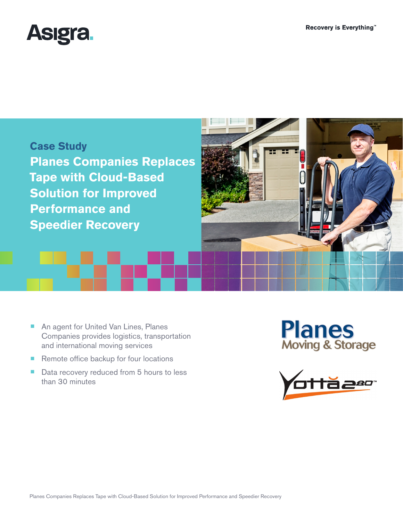



- An agent for United Van Lines, Planes Companies provides logistics, transportation and international moving services
- Remote office backup for four locations
- Data recovery reduced from 5 hours to less than 30 minutes

**Planes**<br>Moving & Storage

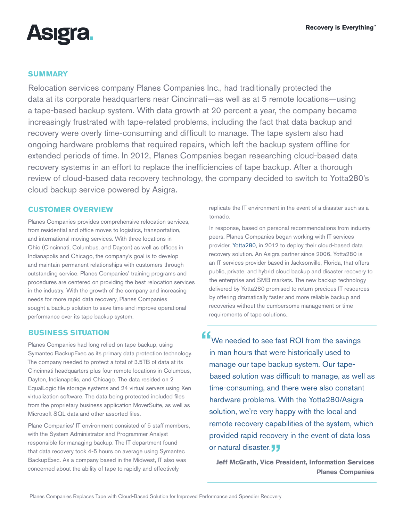

# **SUMMARY**

Relocation services company Planes Companies Inc., had traditionally protected the data at its corporate headquarters near Cincinnati—as well as at 5 remote locations—using a tape-based backup system. With data growth at 20 percent a year, the company became increasingly frustrated with tape-related problems, including the fact that data backup and recovery were overly time-consuming and difficult to manage. The tape system also had ongoing hardware problems that required repairs, which left the backup system offline for extended periods of time. In 2012, Planes Companies began researching cloud-based data recovery systems in an effort to replace the inefficiencies of tape backup. After a thorough review of cloud-based data recovery technology, the company decided to switch to [Yotta280](http://www.yotta280.com)'s cloud backup service powered by Asigra.

## **CUSTOMER OVERVIEW**

Planes Companies provides comprehensive relocation services, from residential and office moves to logistics, transportation, and international moving services. With three locations in Ohio (Cincinnati, Columbus, and Dayton) as well as offices in Indianapolis and Chicago, the company's goal is to develop and maintain permanent relationships with customers through outstanding service. Planes Companies' training programs and procedures are centered on providing the best relocation services in the industry. With the growth of the company and increasing needs for more rapid data recovery, Planes Companies sought a backup solution to save time and improve operational performance over its tape backup system.

# **BUSINESS SITUATION**

Planes Companies had long relied on tape backup, using Symantec BackupExec as its primary data protection technology. The company needed to protect a total of 3.5TB of data at its Cincinnati headquarters plus four remote locations in Columbus, Dayton, Indianapolis, and Chicago. The data resided on 2 EqualLogic file storage systems and 24 virtual servers using Xen virtualization software. The data being protected included files from the proprietary business application MoverSuite, as well as Microsoft SQL data and other assorted files.

Plane Companies' IT environment consisted of 5 staff members, with the System Administrator and Programmer Analyst responsible for managing backup. The IT department found that data recovery took 4-5 hours on average using Symantec BackupExec. As a company based in the Midwest, IT also was concerned about the ability of tape to rapidly and effectively

replicate the IT environment in the event of a disaster such as a tornado.

In response, based on personal recommendations from industry peers, Planes Companies began working with IT services provider, [Yotta280,](http://www.yotta280.com) in 2012 to deploy their cloud-based data recovery solution. An Asigra partner since 2006, Yotta280 is an IT services provider based in Jacksonville, Florida, that offers public, private, and hybrid cloud backup and disaster recovery to the enterprise and SMB markets. The new backup technology delivered by Yotta280 promised to return precious IT resources by offering dramatically faster and more reliable backup and recoveries without the cumbersome management or time requirements of tape solutions..

**"**We needed to see fast ROI from the savings in man hours that were historically used to manage our tape backup system. Our tapebased solution was difficult to manage, as well as time-consuming, and there were also constant hardware problems. With the Yotta280/Asigra solution, we're very happy with the local and remote recovery capabilities of the system, which provided rapid recovery in the event of data loss or natural disaster.<sub>22</sub><br>Leff McGrath, Vice Pr

**Jeff McGrath, Vice President, Information Services Planes Companies**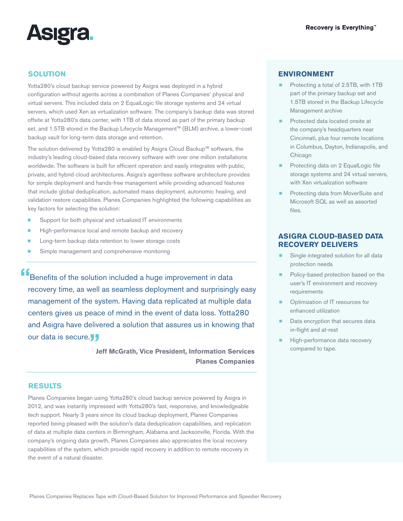

# **SOLUTION**

Yotta280's cloud backup service powered by Asigra was deployed in a hybrid configuration without agents across a combination of Planes Companies' physical and virtual servers. This included data on 2 EqualLogic file storage systems and 24 virtual servers, which used Xen as virtualization software. The company's backup data was stored offsite at Yotta280's data center, with 1TB of data stored as part of the primary backup set, and 1.5TB stored in the Backup Lifecycle Management™ (BLM) archive, a lower-cost backup vault for long-term data storage and retention.

The solution delivered by Yotta280 is enabled by Asigra Cloud Backup™ software, the industry's leading cloud-based data recovery software with over one million installations worldwide. The software is built for efficient operation and easily integrates with public, private, and hybrid cloud architectures. Asigra's agentless software architecture provides for simple deployment and hands-free management while providing advanced features that include global deduplication, automated mass deployment, autonomic healing, and validation restore capabilities. Planes Companies highlighted the following capabilities as key factors for selecting the solution:

- Support for both physical and virtualized IT environments
- High-performance local and remote backup and recovery
- Long-term backup data retention to lower storage costs
- Simple management and comprehensive monitoring

**f E** Benefits of the solution included a huge improvement in data recovery time, as well as seamless deployment and surprisingly easy management of the system. Having data replicated at multiple data centers gives us peace of mind in the event of data loss. Yotta280 and Asigra have delivered a solution that assures us in knowing that our data is secure.

> **Jeff McGrath, Vice President, Information Services Compared to tape. Planes Companies**

#### **RESULTS**

Planes Companies began using Yotta280's cloud backup service powered by Asigra in 2012, and was instantly impressed with Yotta280's fast, responsive, and knowledgeable tech support. Nearly 3 years since its cloud backup deployment, Planes Companies reported being pleased with the solution's data deduplication capabilities, and replication of data at multiple data centers in Birmingham, Alabama and Jacksonville, Florida. With the company's ongoing data growth, Planes Companies also appreciates the local recovery capabilities of the system, which provide rapid recovery in addition to remote recovery in the event of a natural disaster.

### **ENVIRONMENT**

- Protecting a total of 2.5TB, with 1TB part of the primary backup set and 1.5TB stored in the Backup Lifecycle Management archive
- Protected data located onsite at the company's headquarters near Cincinnati, plus four remote locations in Columbus, Dayton, Indianapolis, and Chicago
- Protecting data on 2 EqualLogic file storage systems and 24 virtual servers, with Xen virtualization software
- Protecting data from MoverSuite and Microsoft SQL as well as assorted files.

## **ASIGRA CLOUD-BASED DATA RECOVERY DELIVERS**

- Single integrated solution for all data protection needs
- Policy-based protection based on the user's IT environment and recovery requirements
- Optimization of IT resources for enhanced utilization
- Data encryption that secures data in-flight and at-rest
- High-performance data recovery